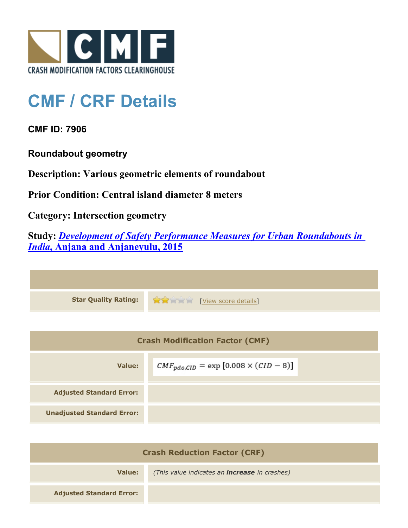

## **CMF / CRF Details**

**CMF ID: 7906**

**Roundabout geometry**

**Description: Various geometric elements of roundabout**

**Prior Condition: Central island diameter 8 meters**

**Category: Intersection geometry**

**Study:** *[Development of Safety Performance Measures for Urban Roundabouts in](http://www.cmfclearinghouse.org/study_detail.cfm?stid=428) [India](http://www.cmfclearinghouse.org/study_detail.cfm?stid=428)***[, Anjana and Anjaneyulu, 2015](http://www.cmfclearinghouse.org/study_detail.cfm?stid=428)**

| <b>Star Quality Rating:</b> | View score details] |
|-----------------------------|---------------------|

| <b>Crash Modification Factor (CMF)</b> |                                                 |
|----------------------------------------|-------------------------------------------------|
| Value:                                 | $CMF_{pdo,CID} = \exp [0.008 \times (CID - 8)]$ |
| <b>Adjusted Standard Error:</b>        |                                                 |
| <b>Unadjusted Standard Error:</b>      |                                                 |

| <b>Crash Reduction Factor (CRF)</b> |                                                      |
|-------------------------------------|------------------------------------------------------|
| Value:                              | (This value indicates an <b>increase</b> in crashes) |
| <b>Adjusted Standard Error:</b>     |                                                      |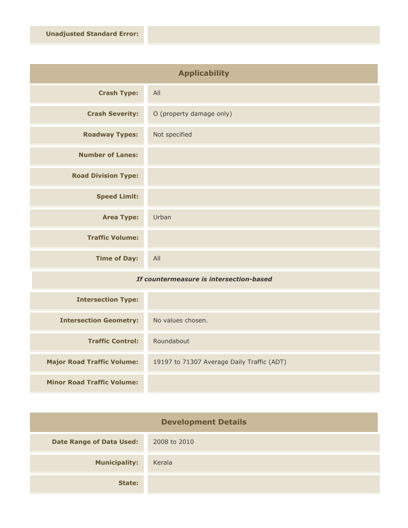| <b>Applicability</b>       |                          |
|----------------------------|--------------------------|
| <b>Crash Type:</b>         | All                      |
| <b>Crash Severity:</b>     | O (property damage only) |
| <b>Roadway Types:</b>      | Not specified            |
| <b>Number of Lanes:</b>    |                          |
| <b>Road Division Type:</b> |                          |
| <b>Speed Limit:</b>        |                          |
| <b>Area Type:</b>          | Urban                    |
| <b>Traffic Volume:</b>     |                          |
| <b>Time of Day:</b>        | All                      |

## *If countermeasure is intersection-based*

| <b>Intersection Type:</b>         |                                            |
|-----------------------------------|--------------------------------------------|
| <b>Intersection Geometry:</b>     | No values chosen.                          |
| <b>Traffic Control:</b>           | Roundabout                                 |
| <b>Major Road Traffic Volume:</b> | 19197 to 71307 Average Daily Traffic (ADT) |
| <b>Minor Road Traffic Volume:</b> |                                            |

| <b>Development Details</b>      |              |
|---------------------------------|--------------|
| <b>Date Range of Data Used:</b> | 2008 to 2010 |
| <b>Municipality:</b>            | Kerala       |
| State:                          |              |